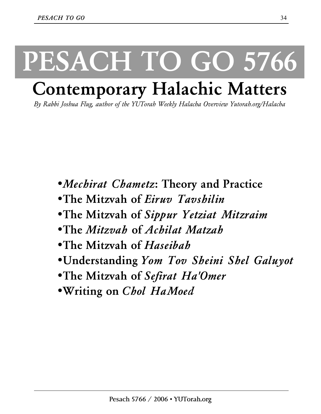# **PESACH TO GO 5766**

## **Contemporary Halachic Matters**

*By Rabbi Joshua Flug, author of the YUTorah Weekly Halacha Overview Yutorah.org/Halacha* 

- •*Mechirat Chametz***: Theory and Practice**
- •**The Mitzvah of** *Eiruv Tavshilin*
- •**The Mitzvah of** *Sippur Yetziat Mitzraim*
- •**The** *Mitzvah* **of** *Achilat Matzah*
- •**The Mitzvah of** *Haseibah*
- •**Understanding** *Yom Tov Sheini Shel Galuyot*
- •**The Mitzvah of** *Sefirat Ha'Omer*
- •**Writing on** *Chol HaMoed*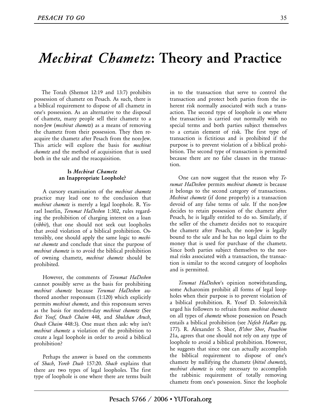### *Mechirat Chametz***: Theory and Practice**

 The Torah (Shemot 12:19 and 13:7) prohibits possession of chametz on Pesach. As such, there is a biblical requirement to dispose of all chametz in one's possession. As an alternative to the disposal of chametz, many people sell their chametz to a non-Jew (*mechirat chametz*) as a means of removing the chametz from their possession. They then reacquire the chametz after Pesach from the non-Jew. This article will explore the basis for *mechirat chametz* and the method of acquisition that is used both in the sale and the reacquisition.

### **Is** *Mechirat Chametz* **an Inappropriate Loophole?**

 A cursory examination of the *mechirat chametz* practice may lead one to the conclusion that *mechirat chametz* is merely a legal loophole. R. Yisrael Isserlin, *Terumat HaDeshen* 1:302, rules regarding the prohibition of charging interest on a loan (*ribbit*), that one should not seek out loopholes that avoid violation of a biblical prohibition. Ostensibly, one should apply the same logic to *mechirat chametz* and conclude that since the purpose of *mechirat chametz* is to avoid the biblical prohibition of owning chametz, *mechirat chametz* should be prohibited.

 However, the comments of *Terumat HaDeshen* cannot possibly serve as the basis for prohibiting *mechirat chametz* because *Terumat HaDeshen* authored another responsum (1:120) which explicitly permits *mechirat chametz*, and this responsum serves as the basis for modern-day *mechirat chametz* (See *Beit Yosef*, *Orach Chaim* 448, and *Shulchan Aruch*, *Orach Chaim* 448:3). One must then ask: why isn't *mechirat chametz* a violation of the prohibition to create a legal loophole in order to avoid a biblical prohibition?

 Perhaps the answer is based on the comments of *Shach*, *Yoreh Deah* 157:20. *Shach* explains that there are two types of legal loopholes. The first type of loophole is one where there are terms built

in to the transaction that serve to control the transaction and protect both parties from the inherent risk normally associated with such a transaction. The second type of loophole is one where the transaction is carried out normally with no special terms and both parties subject themselves to a certain element of risk. The first type of transaction is fictitious and is prohibited if the purpose is to prevent violation of a biblical prohibition. The second type of transaction is permitted because there are no false clauses in the transaction.

 One can now suggest that the reason why *Terumat HaDeshen* permits *mechirat chametz* is because it belongs to the second category of transactions. *Mechirat chametz* (if done properly) is a transaction devoid of any false terms of sale. If the non-Jew decides to retain possession of the chametz after Pesach, he is legally entitled to do so. Similarly, if the seller of the chametz decides not to reacquire the chametz after Pesach, the non-Jew is legally bound to the sale and he has no legal claim to the money that is used for purchase of the chametz. Since both parties subject themselves to the normal risks associated with a transaction, the transaction is similar to the second category of loopholes and is permitted.

 *Terumat HaDeshen*'s opinion notwithstanding, some Acharonim prohibit all forms of legal loopholes when their purpose is to prevent violation of a biblical prohibition. R. Yosef D. Soloveitchik urged his followers to refrain from *mechirat chametz* on all types of *chametz* whose possession on Pesach entails a biblical prohibition (see *Nefesh HaRav* pg. 177). R. Alexander S. Shor, *B'chor Shor*, *Pesachim* 21a, agrees that one should not rely on any type of loophole to avoid a biblical prohibition. However, he suggests that since one can actually accomplish the biblical requirement to dispose of one's chametz by nullifying the chametz (*bittul chametz*), *mechirat chametz* is only necessary to accomplish the rabbinic requirement of totally removing chametz from one's possession. Since the loophole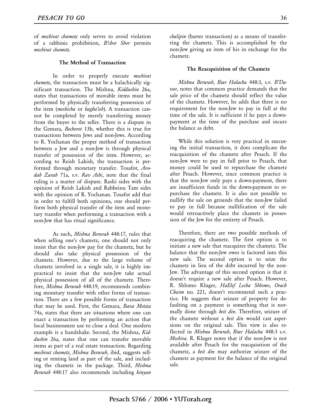of *mechirat chametz* only serves to avoid violation of a rabbinic prohibition, *B'chor Shor* permits *mechirat chametz*.

### **The Method of Transaction**

In order to properly execute *mechirat chametz*, the transaction must be a halachically significant transaction. The Mishna, *Kiddushin* 26a, states that transactions of movable items must be performed by physically transferring possession of the item (*meshicha* or *hagba'ah*). A transaction cannot be completed by merely transferring money from the buyer to the seller. There is a dispute in the Gemara, *Bechorot* 13b, whether this is true for transactions between Jews and non-Jews. According to R. Yochanan the proper method of transaction between a Jew and a non-Jew is through physical transfer of possession of the item. However, according to Reish Lakish, the transaction is performed through monetary transfer. Tosafot, *Avodah Zarah* 71a, s.v. *Rav Ashi*, note that the final ruling is a matter of dispute. Rashi sides with the opinion of Reish Lakish and Rabbeinu Tam sides with the opinion of R. Yochanan. Tosafot add that in order to fulfill both opinions, one should perform both physical transfer of the item and monetary transfer when performing a transaction with a non-Jew that has ritual significance.

As such, *Mishna Berurah* 448:17, rules that when selling one's chametz, one should not only insist that the non-Jew pay for the chametz, but he should also take physical possession of the chametz. However, due to the large volume of chametz involved in a single sale, it is highly impractical to insist that the non-Jew take actual physical possession of all of the chametz. Therefore, *Mishna Berurah* 448:19, recommends combining monetary transfer with other forms of transaction. There are a few possible forms of transaction that may be used. First, the Gemara, *Bava Metzia* 74a, states that there are situations where one can enact a transaction by performing an action that local businessmen use to close a deal. One modern example is a handshake. Second, the Mishna, *Kiddushin* 26a, states that one can transfer movable items as part of a real estate transaction. Regarding *mechirat chametz*, *Mishna Berurah*, ibid, suggests selling or renting land as part of the sale, and including the chametz in the package. Third, *Mishna Berurah* 448:17 also recommends including *kinyan* 

*chalipin* (barter transaction) as a means of transferring the chametz. This is accomplished by the non-Jew giving an item of his in exchange for the chametz.

#### **The Reacquisition of the Chametz**

 *Mishna Berurah*, *Biur Halacha* 448:3, s.v. *B'Davar*, notes that common practice demands that the sale price of the chametz should reflect the value of the chametz. However, he adds that there is no requirement for the non-Jew to pay in full at the time of the sale. It is sufficient if he pays a downpayment at the time of the purchase and incurs the balance as debt.

 While this solution is very practical in executing the initial transaction, it does complicate the reacquisition of the chametz after Pesach. If the non-Jew were to pay in full prior to Pesach, that money could be used to repurchase the chametz after Pesach. However, since common practice is that the non-Jew only pays a down-payment, there are insufficient funds in the down-payment to repurchase the chametz. It is also not possible to nullify the sale on grounds that the non-Jew failed to pay in full because nullification of the sale would retroactively place the chametz in possession of the Jew for the entirety of Pesach.

 Therefore, there are two possible methods of reacquiring the chametz. The first option is to initiate a new sale that reacquires the chametz. The balance that the non-Jew owes is factored into this new sale. The second option is to seize the chametz in lieu of the debt incurred by the non-Jew. The advantage of this second option is that it doesn't require a new sale after Pesach. However, R. Shlomo Kluger, *HaElef Lecha Shlomo*, *Orach Chaim* no. 221, doesn't recommend such a practice. He suggests that seizure of property for defaulting on a payment is something that is normally done through *beit din*. Therefore, seizure of the chametz without a *beit din* would cast aspersions on the original sale. This view is also reflected in *Mishna Berurah*, *Biur Halacha* 448:3 s.v. *Mechira*. R. Kluger notes that if the non-Jew is not available after Pesach for the reacquisition of the chametz, a *beit din* may authorize seizure of the chametz as payment for the balance of the original sale.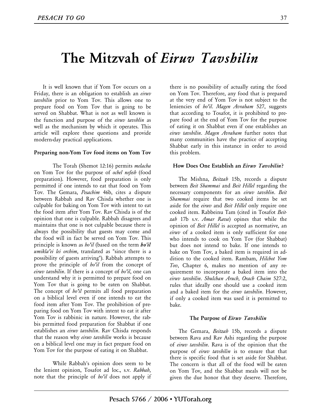### **The Mitzvah of** *Eiruv Tavshilin*

 It is well known that if Yom Tov occurs on a Friday, there is an obligation to establish an *eiruv tavshilin* prior to Yom Tov. This allows one to prepare food on Yom Tov that is going to be served on Shabbat. What is not as well known is the function and purpose of the *eiruv tavshlin* as well as the mechanism by which it operates. This article will explore these questions and provide modern-day practical applications.

### **Preparing non-Yom Tov food items on Yom Tov**

The Torah (Shemot 12:16) permits *melacha* on Yom Tov for the purpose of *ochel nefesh* (food preparation). However, food preparation is only permitted if one intends to eat that food on Yom Tov. The Gemara, *Pesachim* 46b, cites a dispute between Rabbah and Rav Chisda whether one is culpable for baking on Yom Tov with intent to eat the food item after Yom Tov. Rav Chisda is of the opinion that one is culpable. Rabbah disagrees and maintains that one is not culpable because there is always the possibility that guests may come and the food will in fact be served on Yom Tov. This principle is known as *ho'il* (based on the term *ho'il umikla'ei lei orchim*, translated as "since there is a possibility of guests arriving"). Rabbah attempts to prove the principle of *ho'il* from the concept of *eiruv tavshilin*. If there is a concept of *ho'il*, one can understand why it is permitted to prepare food on Yom Tov that is going to be eaten on Shabbat. The concept of *ho'il* permits all food preparation on a biblical level even if one intends to eat the food item after Yom Tov. The prohibition of preparing food on Yom Tov with intent to eat it after Yom Tov is rabbinic in nature. However, the rabbis permitted food preparation for Shabbat if one establishes an *eiruv tavshilin*. Rav Chisda responds that the reason why *eiruv tavshilin* works is because on a biblical level one may in fact prepare food on Yom Tov for the purpose of eating it on Shabbat.

While Rabbah's opinion does seem to be the lenient opinion, Tosafot ad loc., s.v. *Rabbah*, note that the principle of *ho'il* does not apply if there is no possibility of actually eating the food on Yom Tov. Therefore, any food that is prepared at the very end of Yom Tov is not subject to the leniencies of *ho'il*. *Magen Avraham* 527, suggests that according to Tosafot, it is prohibited to prepare food at the end of Yom Tov for the purpose of eating it on Shabbat even if one establishes an *eiruv tavshilin*. *Magen Avraham* further notes that many communities have the practice of accepting Shabbat early in this instance in order to avoid this problem.

### **How Does One Establish an** *Eiruv Tavshilin***?**

 The Mishna, *Beitzah* 15b, records a dispute between *Beit Shammai* and *Beit Hillel* regarding the necessary components for an *eiruv tavshlin*. *Beit Shammai* require that two cooked items be set aside for the *eiruv* and *Beit Hillel* only require one cooked item. Rabbeinu Tam (cited in Tosafot *Beitzah* 17b s.v. *Amar Rava*) opines that while the opinion of *Beit Hillel* is accepted as normative, an *eiruv* of a cooked item is only sufficient for one who intends to cook on Yom Tov (for Shabbat) but does not intend to bake. If one intends to bake on Yom Tov, a baked item is required in addition to the cooked item. Rambam, *Hilchot Yom Tov*, Chapter 6, makes no mention of any requirement to incorporate a baked item into the *eiruv tavshilin*. *Shulchan Aruch*, *Orach Chaim* 527:2, rules that ideally one should use a cooked item and a baked item for the *eiruv tavshilin*. However, if only a cooked item was used it is permitted to bake.

### **The Purpose of** *Eiruv Tavshilin*

 The Gemara, *Beitzah* 15b, records a dispute between Rava and Rav Ashi regarding the purpose of *eiruv tavshilin*. Rava is of the opinion that the purpose of *eiruv tavshilin* is to ensure that that there is specific food that is set aside for Shabbat. The concern is that all of the food will be eaten on Yom Tov, and the Shabbat meals will not be given the due honor that they deserve. Therefore,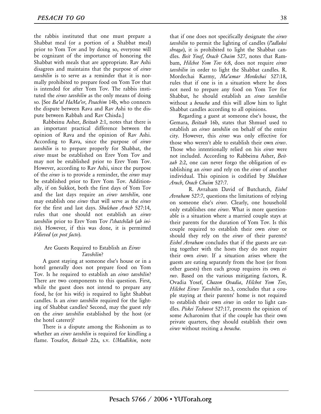the rabbis instituted that one must prepare a Shabbat meal (or a portion of a Shabbat meal) prior to Yom Tov and by doing so, everyone will be cognizant of the importance of honoring the Shabbat with meals that are appropriate. Rav Ashi disagrees and maintains that the purpose of *eiruv tavshilin* is to serve as a reminder that it is normally prohibited to prepare food on Yom Tov that is intended for after Yom Tov. The rabbis instituted the *eiruv tavshilin* as the only means of doing so. [See *Ba'al HaMa'or*, *Pesachim* 14b, who connects the dispute between Rava and Rav Ashi to the dispute between Rabbah and Rav Chisda.]

 Rabbeinu Asher, *Beitzah* 2:1, notes that there is an important practical difference between the opinion of Rava and the opinion of Rav Ashi. According to Rava, since the purpose of *eiruv tavshilin* is to prepare properly for Shabbat, the *eiruv* must be established on Erev Yom Tov and may not be established prior to Erev Yom Tov. However, according to Rav Ashi, since the purpose of the *eiruv* is to provide a reminder, the *eiruv* may be established prior to Erev Yom Tov. Additionally, if on Sukkot, both the first days of Yom Tov and the last days require an *eiruv tavshilin*, one may establish one *eiruv* that will serve as the *eiruv*  for the first and last days. *Shulchan Aruch* 527:14, rules that one should not establish an *eiruv tavshilin* prior to Erev Yom Tov *l'chatchilah* (*ab initio*). However, if this was done, it is permitted *b'dieved* (*ex post facto*).

### Are Guests Required to Establish an *Eiruv Tavshilin*?

 A guest staying at someone else's house or in a hotel generally does not prepare food on Yom Tov. Is he required to establish an *eiruv tavshilin*? There are two components to this question. First, while the guest does not intend to prepare any food, he (or his wife) is required to light Shabbat candles. Is an *eiruv tavshilin* required for the lighting of Shabbat candles? Second, may the guest rely on the *eiruv tavshilin* established by the host (or the hotel caterer)?

 There is a dispute among the Rishonim as to whether an *eiruv tavshilin* is required for kindling a flame. Tosafot, *Beitzah* 22a, s.v. *UMadlikin*, note

that if one does not specifically designate the *eiruv tavshilin* to permit the lighting of candles (*l'adlukei shraga*), it is prohibited to light the Shabbat candles. *Beit Yosef*, *Orach Chaim* 527, notes that Rambam, *Hilchot Yom Tov* 6:8, does not require *eiruv tavshilin* in order to light the Shabbat candles. R. Mordechai Karmy, *Ma'amar Mordechai* 527:18, rules that if one is in a situation where he does not need to prepare any food on Yom Tov for Shabbat, he should establish an *eiruv tavshilin* without a *beracha* and this will allow him to light Shabbat candles according to all opinions.

 Regarding a guest at someone else's house, the Gemara, *Beitzah* 16b, states that Shmuel used to establish an *eiruv tavshilin* on behalf of the entire city. However, this *eiruv* was only effective for those who weren't able to establish their own *eiruv*. Those who intentionally relied on his *eiruv* were not included. According to Rabbeinu Asher, *Beitzah* 2:2, one can never forgo the obligation of establishing an *eiruv* and rely on the *eiruv* of another individual. This opinion is codified by *Shulchan Aruch*, *Orach Chaim* 527:7.

R. Avraham David of Butchatch, *Eishel Avraham* 527:7, questions the limitations of relying on someone else's *eiruv*. Clearly, one household only establishes one *eiruv*. What is more questionable is a situation where a married couple stays at their parents for the duration of Yom Tov. Is this couple required to establish their own *eiruv* or should they rely on the *eiruv* of their parents? *Eishel Avraham* concludes that if the guests are eating together with the hosts they do not require their own *eiruv*. If a situation arises where the guests are eating separately from the host (or from other guests) then each group requires its own *eiruv*. Based on the various mitigating factors, R. Ovadia Yosef, *Chazon Ovadia*, *Hilchot Yom Tov*, *Hilchot Eiruv Tavshilin* no.3, concludes that a couple staying at their parents' home is not required to establish their own *eiruv* in order to light candles. *Piskei Teshuvot* 527:17, presents the opinion of some Acharonim that if the couple has their own private quarters, they should establish their own *eiruv* without reciting a *beracha*.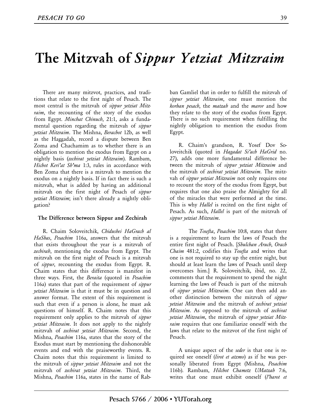### **The Mitzvah of** *Sippur Yetziat Mitzraim*

 There are many mitzvot, practices, and traditions that relate to the first night of Pesach. The most central is the mitzvah of *sippur yetziat Mitzraim*, the recounting of the story of the exodus from Egypt. *Minchat Chinuch*, 21:1, asks a fundamental question regarding the mitzvah of *sippur yetziat Mitzraim*. The Mishna, *Berachot* 12b, as well as the Haggadah, record a dispute between Ben Zoma and Chachamim as to whether there is an obligation to mention the exodus from Egypt on a nightly basis (*zechirat yetziat Mitzraim*). Rambam, *Hichot Keri'at Sh'ma* 1:3, rules in accordance with Ben Zoma that there is a mitzvah to mention the exodus on a nightly basis. If in fact there is such a mitzvah, what is added by having an additional mitzvah on the first night of Pesach of *sippur yetziat Mitzraim*; isn't there already a nightly obligation?

### **The Difference between Sippur and Zechirah**

 R. Chaim Soloveitchik, *Chidushei HaGrach al HaShas*, *Pesachim* 116a, answers that the mitzvah that exists throughout the year is a mitzvah of *zechirah*, mentioning the exodus from Egypt. The mitzvah on the first night of Pesach is a mitzvah of *sippur*, recounting the exodus from Egypt. R. Chaim states that this difference is manifest in three ways. First, the *Beraita* (quoted in *Pesachim* 116a) states that part of the requirement of *sippur yetziat Mitzraim* is that it must be in question and answer format. The extent of this requirement is such that even if a person is alone, he must ask questions of himself. R. Chaim notes that this requirement only applies to the mitzvah of *sippur yetziat Mitzraim*. It does not apply to the nightly mitzvah of *zechirat yetziat Mitzraim*. Second, the Mishna, *Pesachim* 116a, states that the story of the Exodus must start by mentioning the dishonorable events and end with the praiseworthy events. R. Chaim notes that this requirement is limited to the mitzvah of *sippur yetziat Mitzraim* and not the mitzvah of *zechirat yetziat Mitzraim*. Third, the Mishna, *Pesachim* 116a, states in the name of Rab-

ban Gamliel that in order to fulfill the mitzvah of *sippur yetziat Mitzraim*, one must mention the *korban pesach*, the *matzah* and the *maror* and how they relate to the story of the exodus from Egypt. There is no such requirement when fulfilling the nightly obligation to mention the exodus from Egypt.

 R. Chaim's grandson, R. Yosef Dov Soloveitchik (quoted in *Hagadat Si'ach HaGrid* no. 27), adds one more fundamental difference between the mitzvah of *sippur yetziat Mitzraim* and the mitzvah of *zechirat yetziat Mitzraim*. The mitzvah of *sippur yetziat Mitzraim* not only requires one to recount the story of the exodus from Egypt, but requires that one also praise the Almighty for all of the miracles that were performed at the time. This is why *Hallel* is recited on the first night of Pesach. As such, *Hallel* is part of the mitzvah of *sippur yetziat Mitzraim*.

The *Tosefta*, *Pesachim* 10:8, states that there is a requirement to learn the laws of Pesach the entire first night of Pesach. [*Shulchan Aruch*, *Orach Chaim* 481:2, codifies this *Tosefta* and writes that one is not required to stay up the entire night, but should at least learn the laws of Pesach until sleep overcomes him.] R. Soloveitchik, ibid, no. 22, comments that the requirement to spend the night learning the laws of Pesach is part of the mitzvah of *sippur yetziat Mitzraim*. One can then add another distinction between the mitzvah of *sippur yetziat Mitzraim* and the mitzvah of *zechirat yetziat Mitzraim*. As opposed to the mitzvah of *zechirat yetziat Mitzraim*, the mitzvah of *sippur yetziat Mitzraim* requires that one familiarize oneself with the laws that relate to the mitzvot of the first night of Pesach.

 A unique aspect of the *seder* is that one is required see oneself (*lirot et atzmo*) as if he was personally liberated from Egypt (Mishna, *Pesachim*  116b). Rambam, *Hilchot Chametz UMatzah* 7:6, writes that one must exhibit oneself (*l'harot et*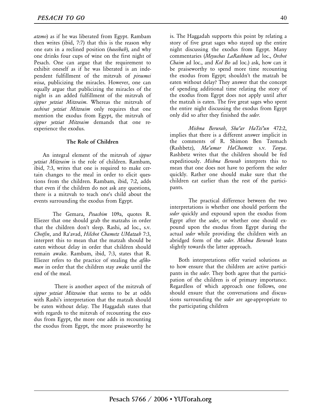*atzmo*) as if he was liberated from Egypt. Rambam then writes (ibid, 7:7) that this is the reason why one eats in a reclined position (*haseibah*), and why one drinks four cups of wine on the first night of Pesach. One can argue that the requirement to exhibit oneself as if he was liberated is an independent fulfillment of the mitzvah of *pirsumei nissa*, publicizing the miracles. However, one can equally argue that publicizing the miracles of the night is an added fulfillment of the mitzvah of *sippur yetziat Mitzraim*. Whereas the mitzvah of *zechirat yetziat Mitzraim* only requires that one mention the exodus from Egypt, the mitzvah of *sippur yetziat Mitzraim* demands that one reexperience the exodus.

### **The Role of Children**

 An integral element of the mitzvah of *sippur yetziat Mitzraim* is the role of children. Rambam, ibid, 7:3, writes that one is required to make certain changes to the meal in order to elicit questions from the children. Rambam, ibid, 7:2, adds that even if the children do not ask any questions, there is a mitzvah to teach one's child about the events surrounding the exodus from Egypt.

The Gemara, *Pesachim* 109a, quotes R. Eliezer that one should grab the matzahs in order that the children don't sleep. Rashi, ad loc., s.v. *Chotfin*, and Ra'avad, *Hilchot Chametz UMatzah* 7:3, interpret this to mean that the matzah should be eaten without delay in order that children should remain awake. Rambam, ibid, 7:3, states that R. Eliezer refers to the practice of stealing the *afikoman* in order that the children stay awake until the end of the meal.

There is another aspect of the mitzvah of *sippur yetziat Mitzraim* that seems to be at odds with Rashi's interpretation that the matzah should be eaten without delay. The Haggadah states that with regards to the mitzvah of recounting the exodus from Egypt, the more one adds in recounting the exodus from Egypt, the more praiseworthy he

is. The Haggadah supports this point by relating a story of five great sages who stayed up the entire night discussing the exodus from Egypt. Many commentaries (*Meyuchas LaRashbam* ad loc., *Orchot Chaim* ad loc., and *Kol Bo* ad loc.) ask, how can it be praiseworthy to spend more time recounting the exodus from Egypt; shouldn't the matzah be eaten without delay? They answer that the concept of spending additional time relating the story of the exodus from Egypt does not apply until after the matzah is eaten. The five great sages who spent the entire night discussing the exodus from Egypt only did so after they finished the *seder*.

*Mishna Berurah*, *Sha'ar HaTzi'un* 472:2, implies that there is a different answer implicit in the comments of R. Shimon Ben Tzemach (Rashbetz), *Ma'amar HaChametz* s.v. *Tanya*. Rashbetz writes that the children should be fed expeditiously. *Mishna Berurah* interprets this to mean that one does not have to perform the seder quickly. Rather one should make sure that the children eat earlier than the rest of the participants.

The practical difference between the two interpretations is whether one should perform the *seder* quickly and expound upon the exodus from Egypt after the *seder*, or whether one should expound upon the exodus from Egypt during the actual *seder* while providing the children with an abridged form of the *seder*. *Mishna Berurah* leans slightly towards the latter approach.

 Both interpretations offer varied solutions as to how ensure that the children are active participants in the *seder*. They both agree that the participation of the children is of primary importance. Regardless of which approach one follows, one should ensure that the conversations and discussions surrounding the *seder* are age-appropriate to the participating children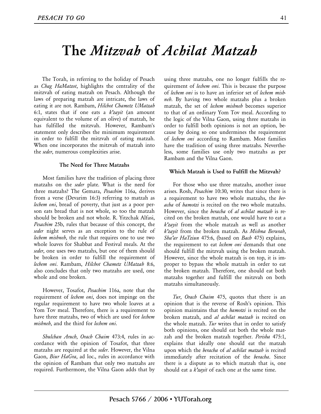### **The** *Mitzvah* **of** *Achilat Matzah*

 The Torah, in referring to the holiday of Pesach as *Chag HaMatzot*, highlights the centrality of the mitzvah of eating matzah on Pesach. Although the laws of preparing matzah are intricate, the laws of eating it are not. Rambam, *Hilchot Chametz UMatzah* 6:1, states that if one eats a *k'zayit* (an amount equivalent to the volume of an olive) of matzah, he has fulfilled the mitzvah. However, Rambam's statement only describes the minimum requirement in order to fulfill the mitzvah of eating matzah. When one incorporates the mitzvah of matzah into the *seder*, numerous complexities arise.

#### **The Need for Three Matzahs**

 Most families have the tradition of placing three matzahs on the *seder* plate. What is the need for three matzahs? The Gemara, *Pesachim* 116a, derives from a verse (Devarim 16:3) referring to matzah as *lechem oni*, bread of poverty, that just as a poor person eats bread that is not whole, so too the matzah should be broken and not whole. R. Yitzchak Alfasi, *Pesachim* 25b, rules that because of this concept, the *seder* night serves as an exception to the rule of *lechem mishneh*, the rule that requires one to use two whole loaves for Shabbat and Festival meals. At the *seder*, one uses two matzahs, but one of them should be broken in order to fulfill the requirement of *lechem oni*. Rambam, *Hilchot Chametz UMatzah* 8:6, also concludes that only two matzahs are used, one whole and one broken.

 However, Tosafot, *Pesachim* 116a, note that the requirement of *lechem oni*, does not impinge on the regular requirement to have two whole loaves at a Yom Tov meal. Therefore, there is a requirement to have three matzahs, two of which are used for *lechem mishneh*, and the third for *lechem oni*.

 *Shulchan Aruch*, *Orach Chaim* 473:4, rules in accordance with the opinion of Tosafot, that three matzahs are required at the *seder*. However, the Vilna Gaon, *Biur HaGra*, ad loc., rules in accordance with the opinion of Rambam that only two matzahs are required. Furthermore, the Vilna Gaon adds that by using three matzahs, one no longer fulfills the requirement of *lechem oni*. This is because the purpose of *lechem oni* is to have an inferior set of *lechem mishneh*. By having two whole matzahs plus a broken matzah, the set of *lechem mishneh* becomes superior to that of an ordinary Yom Tov meal. According to the logic of the Vilna Gaon, using three matzahs in order to fulfill both opinions is not an option, because by doing so one undermines the requirement of *lechem oni* according to Rambam. Most families have the tradition of using three matzahs. Nevertheless, some families use only two matzahs as per Rambam and the Vilna Gaon.

#### **Which Matzah is Used to Fulfill the Mitzvah?**

 For those who use three matzahs, another issue arises. Rosh, *Pesachim* 10:30, writes that since there is a requirement to have two whole matzahs, the *beracha* of *hamotzi* is recited on the two whole matzahs. However, since the *beracha* of *al achilat matzah* is recited on the broken matzah, one would have to eat a *k'zayit* from the whole matzah as well as another *k'zayit* from the broken matzah. As *Mishna Berurah*, *Sha'ar HaTziun* 475:6, (based on *Bach* 475) explains, the requirement to eat *lechem oni* demands that one should fulfill the mitzvah using the broken matzah. However, since the whole matzah is on top, it is improper to bypass the whole matzah in order to eat the broken matzah. Therefore, one should eat both matzahs together and fulfill the mitzvah on both matzahs simultaneously.

 *Tur*, *Orach Chaim* 475, quotes that there is an opinion that is the reverse of Rosh's opinion. This opinion maintains that the *hamotzi* is recited on the broken matzah, and *al achilat matzah* is recited on the whole matzah. *Tur* writes that in order to satisfy both opinions, one should eat both the whole matzah and the broken matzah together. *Perisha* 475:1, explains that ideally one should eat the matzah upon which the *beracha* of *al achilat matzah* is recited immediately after recitation of the *beracha*. Since there is a dispute as to which matzah that is, one should eat a *k'zayit* of each one at the same time.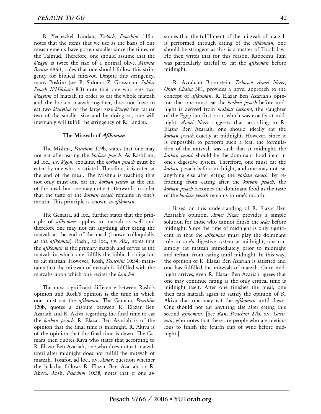R. Yechezkel Landau, *Tzelach*, *Pesachim* 115b, notes that the items that we use as the basis of our measurements have gotten smaller since the times of the Talmud. Therefore, one should assume that the *k'zayit* is twice the size of a normal olive. *Mishna Berura* 486:1, rules that one should follow this stringency for biblical mitzvot. Despite this stringency, many Poskim (see R. Shlomo Z. Grossman, *Siddur Pesach K'Hilchato* 8:3) note that one who eats two *k'zaytim* of matzah in order to eat the whole matzah and the broken matzah together, does not have to eat two *k'zaytim* of the larger size *k'zayit* but rather two of the smaller size and by doing so, one will inevitably will fulfill the stringency of R. Landau.

#### **The Mitzvah of** *Afikoman*

 The Mishna, *Pesachim* 119b, states that one may not eat after eating the *korban peasch*. As Rashbam, ad loc., s.v. *k'gon*, explains, the *korban pesach* must be eaten by one who is satiated. Therefore, it is eaten at the end of the meal. The Mishna is teaching that not only must one eat the *korban pesach* at the end of the meal, but one may not eat afterwards in order that the taste of the *korban pesach* remains in one's mouth. This principle is known as *afikoman*.

 The Gemara, ad loc., further states that the principle of *afikoman* applies to matzah as well and therefore one may not eat anything after eating the matzah at the end of the meal (known colloquially as the *afikoman*). Rashi, ad loc., s.v. *Ain*, notes that the *afikoman* is the primary matzah and serves as the matzah in which one fulfills the biblical obligation to eat matzah. However, Rosh, *Pesachim* 10:34, maintains that the mitzvah of matzah is fulfilled with the matzahs upon which one recites the *berachot*.

 The most significant difference between Rashi's opinion and Rosh's opinion is the time in which one must eat the *afikoman*. The Gemara, *Pesachim* 120b, quotes a dispute between R. Elazar Ben Azariah and R. Akiva regarding the final time to eat the *korban pesach*. R. Elazar Ben Azariah is of the opinion that the final time is midnight. R. Akiva is of the opinion that the final time is dawn. The Gemara then quotes Rava who states that according to R. Elazar Ben Azariah, one who does not eat matzah until after midnight does not fulfill the mitzvah of matzah. Tosafot, ad loc., s.v. *Amar*, question whether the halacha follows R. Elazar Ben Azariah or R. Akiva. Rosh, *Pesachim* 10:38, notes that if one assumes that the fulfillment of the mitzvah of matzah is performed through eating of the *afikoman*, one should be stringent as this is a matter of Torah law. He then writes that for this reason, Rabbeinu Tam was particularly careful to eat the *afikoman* before midnight.

 R. Avraham Borenstein, *Teshuvot Avnei Nezer*, *Orach Chaim* 381, provides a novel approach to the concept of *afikoman*. R. Elazar Ben Azariah's opinion that one must eat the *korban pesach* before midnight is derived from *makkat bechorot*, the slaughter of the Egyptian first-born, which was exactly at midnight. *Avnei Nezer* suggests that according to R. Elazar Ben Azariah, one should ideally eat the *korban pesach* exactly at midnight. However, since it is impossible to perform such a feat, the formulation of the mitzvah was such that at midnight, the *korban pesach* should be the dominant food item in one's digestive system. Therefore, one must eat the *korban* pesach before midnight, and one may not eat anything else after eating the *korban pesach*. By refraining from eating after the *korban pesach*, the *korban pesach* becomes the dominant food as the taste of the *korban pesach* remains in one's mouth.

 Based on this understanding of R. Elazar Ben Azariah's opinion, *Avnei Nezer* provides a simple solution for those who cannot finish the *seder* before midnight. Since the time of midnight is only significant in that the *afikoman* must play the dominant role in one's digestive system at midnight, one can simply eat matzah immediately prior to midnight and refrain from eating until midnight. In this way, the opinion of R. Elazar Ben Azariah is satisfied and one has fulfilled the mitzvah of matzah. Once midnight arrives, even R. Elazar Ben Azariah agrees that one may continue eating as the only critical time is midnight itself. After one finishes the meal, one then eats matzah again to satisfy the opinion of R. Akiva that one may eat the *afikoman* until dawn. One should not eat anything else after eating this second *afikoman*. [See *Ran*, *Pesachim* 27b, s.v. *Garsinan*, who notes that there are people who are meticulous to finish the fourth cup of wine before midnight.]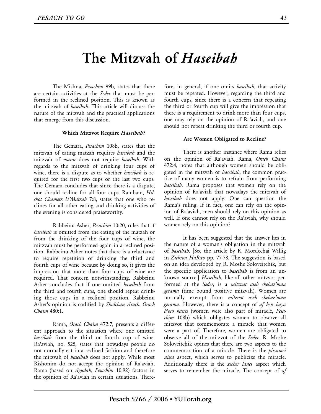### **The Mitzvah of** *Haseibah*

The Mishna, *Pesachim* 99b, states that there are certain activities at the *Seder* that must be performed in the reclined position. This is known as the mitzvah of *haseibah*. This article will discuss the nature of the mitzvah and the practical applications that emerge from this discussion.

### **Which Mitzvot Require** *Haseibah***?**

The Gemara, *Pesachim* 108b, states that the mitzvah of eating matzah requires *haseibah* and the mitzvah of *maror* does not require *haseibah*. With regards to the mitzvah of drinking four cups of wine, there is a dispute as to whether *haseibah* is required for the first two cups or the last two cups. The Gemara concludes that since there is a dispute, one should recline for all four cups. Rambam, *Hilchot Chametz U'Matzah* 7:8, states that one who reclines for all other eating and drinking activities of the evening is considered praiseworthy.

Rabbeinu Asher, *Pesachim* 10:20, rules that if *haseibah* is omitted from the eating of the matzah or from the drinking of the four cups of wine, the mitzvah must be performed again in a reclined position. Rabbeinu Asher notes that there is a reluctance to require repetition of drinking the third and fourth cups of wine because by doing so, it gives the impression that more than four cups of wine are required. That concern notwithstanding, Rabbeinu Asher concludes that if one omitted *haseibah* from the third and fourth cups, one should repeat drinking those cups in a reclined position. Rabbeinu Asher's opinion is codified by *Shulchan Aruch*, *Orach Chaim* 480:1.

Rama, *Orach Chaim* 472:7, presents a different approach to the situation where one omitted *haseibah* from the third or fourth cup of wine. Ra'aviah, no. 525, states that nowadays people do not normally eat in a reclined fashion and therefore the mitzvah of *haseibah* does not apply. While most Rishonim do not accept the opinion of Ra'aviah, Rama (based on *Agudah*, *Pesachim* 10:92) factors in the opinion of Ra'aviah in certain situations. Therefore, in general, if one omits *haseibah*, that activity must be repeated. However, regarding the third and fourth cups, since there is a concern that repeating the third or fourth cup will give the impression that there is a requirement to drink more than four cups, one may rely on the opinion of Ra'aviah, and one should not repeat drinking the third or fourth cup.

### **Are Women Obligated to Recline?**

There is another instance where Rama relies on the opinion of Ra'aviah. Rama, *Orach Chaim* 472:4, notes that although women should be obligated in the mitzvah of *haseibah*, the common practice of many women is to refrain from performing *haseibah*. Rama proposes that women rely on the opinion of Ra'aviah that nowadays the mitzvah of *haseibah* does not apply. One can question the Rama's ruling. If in fact, one can rely on the opinion of Ra'aviah, men should rely on this opinion as well. If one cannot rely on the Ra'aviah, why should women rely on this opinion?

It has been suggested that the answer lies in the nature of a woman's obligation in the mitzvah of *haseibah*. [See the article by R. Mordechai Willig in *Zichron HaRav* pp. 77-78. The suggestion is based on an idea developed by R. Moshe Soloveitchik, but the specific application to *haseibah* is from an unknown source.] *Haseibah*, like all other mitzvot performed at the *Seder*, is a *mitzvat aseh shehaz'man gerama* (time bound positive mitzvah). Women are normally exempt from *mitzvot aseh shehaz'man gerama*. However, there is a concept of *af hen hayu b'oto hanes* (women were also part of miracle, *Pesachim* 108b) which obligates women to observe all mitzvot that commemorate a miracle that women were a part of. Therefore, women are obligated to observe all of the mitzvot of the *Seder*. R. Moshe Soloveitchik opines that there are two aspects to the commemoration of a miracle. There is the *pirsumei nissa* aspect, which serves to publicize the miracle. Additionally there is the *zecher lanes* aspect which serves to remember the miracle. The concept of *af*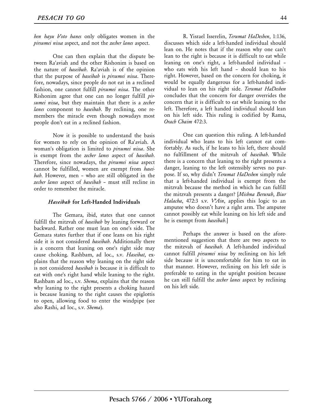*hen hayu b'oto hanes* only obligates women in the *pirsumei nissa* aspect, and not the *zecher lanes* aspect.

One can then explain that the dispute between Ra'aviah and the other Rishonim is based on the nature of *haseibah*. Ra'aviah is of the opinion that the purpose of *haseibah* is *pirsumei nissa*. Therefore, nowadays, since people do not eat in a reclined fashion, one cannot fulfill *pirsumei nissa*. The other Rishonim agree that one can no longer fulfill *pirsumei nissa*, but they maintain that there is a *zecher lanes* component to *haseibah*. By reclining, one remembers the miracle even though nowadays most people don't eat in a reclined fashion.

Now it is possible to understand the basis for women to rely on the opinion of Ra'aviah. A woman's obligation is limited to *pirsumei nissa*. She is exempt from the *zecher lanes* aspect of *haseibah*. Therefore, since nowadays, the *pirsumei nissa* aspect cannot be fulfilled, women are exempt from *haseibah*. However, men – who are still obligated in the *zecher lanes* aspect of *haseibah* – must still recline in order to remember the miracle.

### *Haseibah* **for Left-Handed Individuals**

The Gemara, ibid, states that one cannot fulfill the mitzvah of *haseibah* by leaning forward or backward. Rather one must lean on one's side. The Gemara states further that if one leans on his right side it is not considered *haseibah*. Additionally there is a concern that leaning on one's right side may cause choking. Rashbam, ad loc., s.v. *Haseibat*, explains that the reason why leaning on the right side is not considered *haseibah* is because it is difficult to eat with one's right hand while leaning to the right. Rashbam ad loc., s.v. *Shema*, explains that the reason why leaning to the right presents a choking hazard is because leaning to the right causes the epiglottis to open, allowing food to enter the windpipe (see also Rashi, ad loc., s.v. *Shema*).

R. Yisrael Isserelin, *Terumat HaDeshen*, 1:136, discusses which side a left-handed individual should lean on. He notes that if the reason why one can't lean to the right is because it is difficult to eat while leaning on one's right, a left-handed individual – who eats with his left hand – should lean to his right. However, based on the concern for choking, it would be equally dangerous for a left-handed individual to lean on his right side. *Terumat HaDeshen*  concludes that the concern for danger overrides the concern that it is difficult to eat while leaning to the left. Therefore, a left handed individual should lean on his left side. This ruling is codified by Rama, *Orach Chaim* 472:3.

One can question this ruling. A left-handed individual who leans to his left cannot eat comfortably. As such, if he leans to his left, there should no fulfillment of the mitzvah of *haseibah*. While there is a concern that leaning to the right presents a danger, leaning to the left ostensibly serves no purpose. If so, why didn't *Terumat HaDeshen* simply rule that a left-handed individual is exempt from the mitzvah because the method in which he can fulfill the mitzvah presents a danger? [*Mishna Berurah*, *Biur Halacha*, 472:3 s.v. *V'Ain*, applies this logic to an amputee who doesn't have a right arm. The amputee cannot possibly eat while leaning on his left side and he is exempt from *haseibah*.]

Perhaps the answer is based on the aforementioned suggestion that there are two aspects to the mitzvah of *haseibah*. A left-handed individual cannot fulfill *pirsumei nissa* by reclining on his left side because it is uncomfortable for him to eat in that manner. However, reclining on his left side is preferable to eating in the upright position because he can still fulfill the *zecher lanes* aspect by reclining on his left side.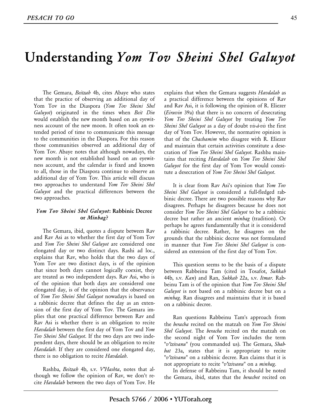### **Understanding** *Yom Tov Sheini Shel Galuyot*

 The Gemara, *Beitzah* 4b, cites Abaye who states that the practice of observing an additional day of Yom Tov in the Diaspora (*Yom Tov Sheini Shel Galuyot*) originated in the times when *Beit Din* would establish the new month based on an eyewitness account of the new moon. It often took an extended period of time to communicate this message to the communities in the Diaspora. For this reason those communities observed an additional day of Yom Tov. Abaye notes that although nowadays, the new month is not established based on an eyewitness account, and the calendar is fixed and known to all, those in the Diaspora continue to observe an additional day of Yom Tov. This article will discuss two approaches to understand *Yom Tov Sheini Shel Galuyot* and the practical differences between the two approaches.

### *Yom Tov Sheini Shel Galuyot***: Rabbinic Decree or** *Minhag***?**

 The Gemara, ibid, quotes a dispute between Rav and Rav Asi as to whether the first day of Yom Tov and *Yom Tov Sheini Shel Galuyot* are considered one elongated day or two distinct days. Rashi ad loc., explains that Rav, who holds that the two days of Yom Tov are two distinct days, is of the opinion that since both days cannot logically coexist, they are treated as two independent days. Rav Asi, who is of the opinion that both days are considered one elongated day, is of the opinion that the observance of *Yom Tov Sheini Shel Galuyot* nowadays is based on a rabbinic decree that defines the day as an extension of the first day of Yom Tov. The Gemara implies that one practical difference between Rav and Rav Asi is whether there is an obligation to recite *Havdalah* between the first day of Yom Tov and *Yom Tov Sheini Shel Galuyot*. If the two days are two independent days, there should be an obligation to recite *Havdalah*. If they are considered one elongated day, there is no obligation to recite *Havdalah*.

 Rashba, *Beitzah* 4b, s.v. *V'Hashta*, notes that although we follow the opinion of Rav, we don't recite *Havdalah* between the two days of Yom Tov. He explains that when the Gemara suggests *Havdalah* as a practical difference between the opinions of Rav and Rav Asi, it is following the opinion of R. Eliezer (*Eiruvin* 39a) that there is no concern of desecrating *Yom Tov Sheini Shel Galuyot* by treating *Yom Tov Sheini Shel Galuyot* as a day of doubt *vis-à-vis* the first day of Yom Tov. However, the normative opinion is that of the *Chachamim* who disagree with R. Eliezer and maintain that certain activities constitute a desecration of *Yom Tov Sheini Shel Galuyot*. Rashba maintains that reciting *Havdalah* on *Yom Tov Sheini Shel Galuyot* for the first day of Yom Tov would constitute a desecration of *Yom Tov Sheini Shel Galuyot*.

 It is clear from Rav Asi's opinion that *Yom Tov Sheini Shel Galuyot* is considered a full-fledged rabbinic decree. There are two possible reasons why Rav disagrees. Perhaps he disagrees because he does not consider *Yom Tov Sheini Shel Galuyot* to be a rabbinic decree but rather an ancient *minhag* (tradition). Or perhaps he agrees fundamentally that it is considered a rabbinic decree. Rather, he disagrees on the grounds that the rabbinic decree was not formulated in manner that *Yom Tov Sheini Shel Galuyot* is considered an extension of the first day of Yom Tov.

 This question seems to be the basis of a dispute between Rabbeinu Tam (cited in Tosafot, *Sukkah* 44b, s.v. *Kan*) and Ran, *Sukkah* 22a, s.v. *Itmar*. Rabbeinu Tam is of the opinion that *Yom Tov Sheini Shel Galuyot* is not based on a rabbinic decree but on a *minhag*. Ran disagrees and maintains that it is based on a rabbinic decree.

 Ran questions Rabbeinu Tam's approach from the *beracha* recited on the matzah on *Yom Tov Sheini Shel Galuyot*. The *beracha* recited on the matzah on the second night of Yom Tov includes the term "*v'tzivanu*" (you commanded us). The Gemara, *Shabbat* 23a, states that it is appropriate to recite "*v'tzivanu*" on a rabbinic decree. Ran claims that it is not appropriate to recite "*v'tzivanu*" on a *minhag*.

 In defense of Rabbeinu Tam, it should be noted the Gemara, ibid, states that the *berachot* recited on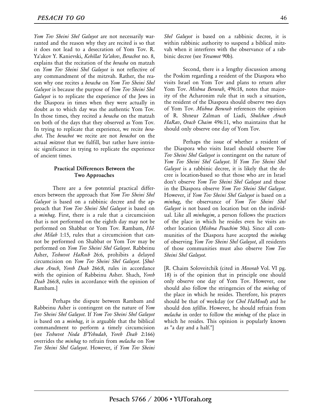*Yom Tov Sheini Shel Galuyot* are not necessarily warranted and the reason why they are recited is so that it does not lead to a desecration of Yom Tov. R. Ya'akov Y. Kanievski, *Kehillat Ya'akov*, *Berachot* no. 8, explains that the recitation of the *beracha* on matzah on *Yom Tov Sheini Shel Galuyot* is not reflective of any commandment of the mitzvah. Rather, the reason why one recites a *beracha* on *Yom Tov Sheini Shel Galuyot* is because the purpose of *Yom Tov Sheini Shel Galuyot* is to replicate the experience of the Jews in the Diaspora in times when they were actually in doubt as to which day was the authentic Yom Tov. In those times, they recited a *beracha* on the matzah on both of the days that they observed as Yom Tov. In trying to replicate that experience, we recite *berachot*. The *berachot* we recite are not *berachot* on the actual *mitzvot* that we fulfill, but rather have intrinsic significance in trying to replicate the experience of ancient times.

### **Practical Differences Between the Two Approaches**

There are a few potential practical differences between the approach that *Yom Tov Sheini Shel Galuyot* is based on a rabbinic decree and the approach that *Yom Tov Sheini Shel Galuyot* is based on a *minhag*. First, there is a rule that a circumcision that is not performed on the eighth day may not be performed on Shabbat or Yom Tov. Rambam, *Hilchot Milah* 1:15, rules that a circumcision that cannot be performed on Shabbat or Yom Tov may be performed on *Yom Tov Sheini Shel Galuyot*. Rabbeinu Asher, *Teshuvot HaRosh* 26:6, prohibits a delayed circumcision on *Yom Tov Sheini Shel Galuyot*. [*Shulchan Aruch*, *Yoreh Deah* 266:8, rules in accordance with the opinion of Rabbeinu Asher. Shach, *Yoreh Deah* 266:8, rules in accordance with the opinion of Rambam.]

Perhaps the dispute between Rambam and Rabbeinu Asher is contingent on the nature of *Yom Tov Sheini Shel Galuyot*. If *Yom Tov Sheini Shel Galuyot* is based on a *minhag*, it is arguable that the biblical commandment to perform a timely circumcision (see *Teshuvot Noda B'Yehudah*, *Yoreh Deah* 2:166) overrides the *minhag* to refrain from *melacha* on *Yom Tov Sheini Shel Galuyot*. However, if *Yom Tov Sheini*  *Shel Galuyot* is based on a rabbinic decree, it is within rabbinic authority to suspend a biblical mitzvah when it interferes with the observance of a rabbinic decree (see *Yevamot* 90b).

Second, there is a lengthy discussion among the Poskim regarding a resident of the Diaspora who visits Israel on Yom Tov and plans to return after Yom Tov. *Mishna Berurah*, 496:18, notes that majority of the Acharonim rule that in such a situation, the resident of the Diaspora should observe two days of Yom Tov. *Mishna Berurah* references the opinion of R. Shneur Zalman of Liadi, *Shulchan Aruch HaRav*, *Orach Chaim* 496:11, who maintains that he should only observe one day of Yom Tov.

Perhaps the issue of whether a resident of the Diaspora who visits Israel should observe *Yom Tov Sheini Shel Galuyot* is contingent on the nature of *Yom Tov Sheini Shel Galuyot*. If *Yom Tov Sheini Shel Galuyot* is a rabbinic decree, it is likely that the decree is location-based so that those who are in Israel don't observe *Yom Tov Sheini Shel Galuyot* and those in the Diaspora observe *Yom Tov Sheini Shel Galuyot*. However, if *Yom Tov Sheini Shel Galuyot* is based on a *minhag*, the observance of *Yom Tov Sheini Shel Galuyot* is not based on location but on the individual. Like all *minhagim*, a person follows the practices of the place in which he resides even he visits another location (*Mishna Pesachim* 50a). Since all communities of the Diaspora have accepted the *minhag* of observing *Yom Tov Sheini Shel Galuyot*, all residents of those communities must also observe *Yom Tov Sheini Shel Galuyot*.

[R. Chaim Soloveitchik (cited in *Mesorah* Vol. VI pg. 18) is of the opinion that in principle one should only observe one day of Yom Tov. However, one should also follow the stringencies of the *minhag* of the place in which he resides. Therefore, his prayers should be that of weekday (or *Chol HaMoed*) and he should don *tefillin*. However, he should refrain from *melacha* in order to follow the *minhag* of the place in which he resides. This opinion is popularly known as "a day and a half."]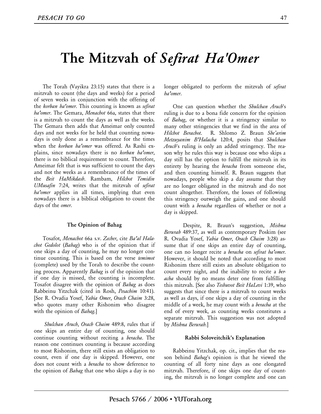### **The Mitzvah of** *Sefirat Ha'Omer*

 The Torah (Vayikra 23:15) states that there is a mitzvah to count (the days and weeks) for a period of seven weeks in conjunction with the offering of the *korban ha'omer*. This counting is known as *sefirat ha'omer*. The Gemara, *Menachot* 66a, states that there is a mitzvah to count the days as well as the weeks. The Gemara then adds that Ameimar only counted days and not weeks for he held that counting nowadays is only done as a remembrance for the times when the *korban ha'omer* was offered. As Rashi explains, since nowadays there is no *korban ha'omer*, there is no biblical requirement to count. Therefore, Ameimar felt that is was sufficient to count the days and not the weeks as a remembrance of the times of the *Beit HaMikdash*. Rambam, *Hilchot Temidin UMusafin* 7:24, writes that the mitzvah of *sefirat ha'omer* applies in all times, implying that even nowadays there is a biblical obligation to count the days of the *omer*.

### **The Opinion of Bahag**

 Tosafot, *Menachot* 66a s.v. *Zecher*, cite *Ba'al Halachot Gedolot* (*Bahag*) who is of the opinion that if one skips a day of counting, he may no longer continue counting. This is based on the verse *temimot* (complete) used by the Torah to describe the counting process. Apparently *Bahag* is of the opinion that if one day is missed, the counting is incomplete. Tosafot disagree with the opinion of *Bahag* as does Rabbeinu Yitzchak (cited in Rosh, *Pesachim* 10:41). [See R. Ovadia Yosef, *Yabia Omer*, *Orach Chaim* 3:28, who quotes many other Rishonim who disagree with the opinion of *Bahag*.]

 *Shulchan Aruch*, *Orach Chaim* 489:8, rules that if one skips an entire day of counting, one should continue counting without reciting a *beracha*. The reason one continues counting is because according to most Rishonim, there still exists an obligation to count, even if one day is skipped. However, one does not count with a *beracha* to show deference to the opinion of *Bahag* that one who skips a day is no longer obligated to perform the mitzvah of *sefirat ha'omer*.

 One can question whether the *Shulchan Aruch*'s ruling is due to a bona fide concern for the opinion of *Bahag*, or whether it is a stringency similar to many other stringencies that we find in the area of *Hilchot Berachot*. R. Shlomo Z. Braun *She'arim Metzuyanim B'Halacha* 120:4, posits that *Shulchan Aruch*'s ruling is only an added stringency. The reason why he rules this way is because one who skips a day still has the option to fulfill the mitzvah in its entirety by hearing the *beracha* from someone else, and then counting himself. R. Braun suggests that nowadays, people who skip a day assume that they are no longer obligated in the mitzvah and do not count altogether. Therefore, the losses of following this stringency outweigh the gains, and one should count with a *beracha* regardless of whether or not a day is skipped.

Despite, R. Braun's suggestion, *Mishna Berurah* 489:37, as well as contemporary Poskim (see R. Ovadia Yosef, *Yabia Omer*, *Orach Chaim* 3:28) assume that if one skips an entire day of counting, one can no longer recite a *beracha* on *sefirat ha'omer*. However, it should be noted that according to most Rishonim there still exists an absolute obligation to count every night, and the inability to recite a *beracha* should by no means deter one from fulfilling this mitzvah. [See also *Teshuvot Beit HaLevi* 1:39, who suggests that since there is a mitzvah to count weeks as well as days, if one skips a day of counting in the middle of a week, he may count with a *beracha* at the end of every week, as counting weeks constitutes a separate mitzvah. This suggestion was not adopted by *Mishna Berurah*.]

#### **Rabbi Soloveitchik's Explanation**

 Rabbeinu Yitzchak, op. cit., implies that the reason behind *Bahag*'s opinion is that he viewed the counting of all forty nine days as one elongated mitzvah. Therefore, if one skips one day of counting, the mitzvah is no longer complete and one can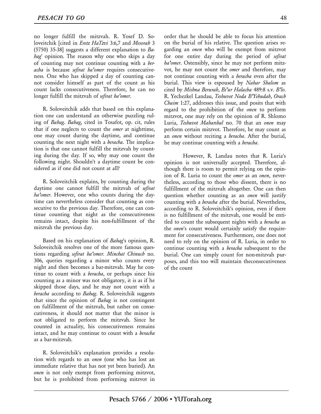no longer fulfill the mitzvah. R. Yosef D. Soloveitchik [cited in *Eretz HaTzvi* 3:6,7 and *Mesorah* 3 (5750) 35-38] suggests a different explanation to *Bahag*' opinion. The reason why one who skips a day of counting may not continue counting with a *beracha* is because *sefirat ha'omer* requires consecutiveness. One who has skipped a day of counting cannot consider himself as part of the count as his count lacks consecutiveness. Therefore, he can no longer fulfill the mitzvah of *sefirat ha'omer*.

 R. Soloveitchik adds that based on this explanation one can understand an otherwise puzzling ruling of *Bahag*. *Bahag*, cited in Tosafot, op. cit, rules that if one neglects to count the *omer* at nighttime, one may count during the daytime, and continue counting the next night with a *beracha*. The implication is that one cannot fulfill the mitzvah by counting during the day. If so, why may one count the following night. Shouldn't a daytime count be considered as if one did not count at all?

 R. Soloveitchik explains, by counting during the daytime one cannot fulfill the mitzvah of *sefirat ha'omer*. However, one who counts during the daytime can nevertheless consider that counting as consecutive to the previous day. Therefore, one can continue counting that night as the consecutiveness remains intact, despite his non-fulfillment of the mitzvah the previous day.

 Based on his explanation of *Bahag*'s opinion, R. Soloveitchik resolves one of the more famous questions regarding *sefirat ha'omer*. *Minchat Chinuch* no. 306, queries regarding a minor who counts every night and then becomes a bar-mitzvah. May he continue to count with a *beracha*, or perhaps since his counting as a minor was not obligatory, it is as if he skipped those days, and he may not count with a *beracha* according to *Bahag*. R. Soloveitchik suggests that since the opinion of *Bahag* is not contingent on fulfillment of the mitzvah, but rather on consecutiveness, it should not matter that the minor is not obligated to perform the mitzvah. Since he counted in actuality, his consecutiveness remains intact, and he may continue to count with a *beracha* as a bar-mitzvah.

 R. Soloveitchik's explanation provides a resolution with regards to an *onen* (one who has lost an immediate relative that has not yet been buried). An *onen* is not only exempt from performing mitzvot, but he is prohibited from performing mitzvot in order that he should be able to focus his attention on the burial of his relative. The question arises regarding an *onen* who will be exempt from mitzvot for one entire day during the period of *sefirat ha'omer*. Ostensibly, since he may not perform mitzvot, he may not count the *omer* and therefore, may not continue counting with a *beracha* even after the burial. This view is espoused by *Nahar Shalom* as cited by *Mishna Berurah*, *Bi'ur Halacha* 489:8 s.v. *B'lo*. R. Yechezkel Landau, *Teshuvot Noda B'Yehudah*, *Orach Chaim* 1:27, addresses this issue, and posits that with regard to the prohibition of the *onen* to perform mitzvot, one may rely on the opinion of R. Shlomo Luria, *Teshuvot Maharshal* no. 70 that an *onen* may perform certain mitzvot. Therefore, he may count as an *onen* without reciting a *beracha*. After the burial, he may continue counting with a *beracha*.

However, R. Landau notes that R. Luria's opinion is not universally accepted. Therefore, although there is room to permit relying on the opinion of R. Luria to count the *omer* as an *onen*, nevertheless, according to those who dissent, there is no fulfillment of the mitzvah altogether. One can then question whether counting as an *onen* will justify counting with a *beracha* after the burial. Nevertheless, according to R. Soloveitchik's opinion, even if there is no fulfillment of the mitzvah, one would be entitled to count the subsequent nights with a *beracha* as the *onen*'s count would certainly satisfy the requirement for consecutiveness. Furthermore, one does not need to rely on the opinion of R. Luria, in order to continue counting with a *beracha* subsequent to the burial. One can simply count for non-mitzvah purposes, and this too will maintain theconsecutiveness of the count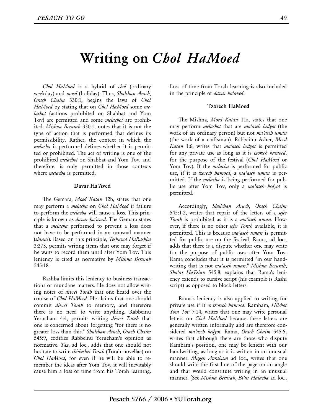### **Writing on** *Chol HaMoed*

 *Chol HaMoed* is a hybrid of *chol* (ordinary weekday) and *moed* (holiday). Thus, *Shulchan Aruch*, *Orach Chaim* 330:1, begins the laws of *Chol HaMoed* by stating that on *Chol HaMoed* some *melachot* (actions prohibited on Shabbat and Yom Tov) are permitted and some *melachot* are prohibited. *Mishna Berurah* 330:1, notes that it is not the type of action that is performed that defines its permissibility. Rather, the context in which the *melacha* is performed defines whether it is permitted or prohibited. The act of writing is one of the prohibited *melachot* on Shabbat and Yom Tov, and therefore, is only permitted in those contexts where *melacha* is permitted.

### **Davar Ha'Aved**

 The Gemara, *Moed Katan* 12b, states that one may perform a *melacha* on *Chol HaMoed* if failure to perform the *melacha* will cause a loss. This principle is known as *davar ha'aved*. The Gemara states that a *melacha* performed to prevent a loss does not have to be performed in an unusual manner (*shinui*). Based on this principle, *Teshuvot HaRashba* 3:273, permits writing items that one may forget if he waits to record them until after Yom Tov. This leniency is cited as normative by *Mishna Berurah* 545:18.

 Rashba limits this leniency to business transactions or mundane matters. He does not allow writing notes of *divrei Torah* that one heard over the course of *Chol HaMoed*. He claims that one should commit *divrei Torah* to memory, and therefore there is no need to write anything. Rabbeinu Yerucham 4:4, permits writing *divrei Torah* that one is concerned about forgetting "for there is no greater loss than this." *Shulchan Aruch*, *Orach Chaim* 545:9, codifies Rabbeinu Yerucham's opinion as normative. *Taz*, ad loc., adds that one should not hesitate to write *chidushei Torah* (Torah novellae) on *Chol HaMoed*, for even if he will be able to remember the ideas after Yom Tov, it will inevitably cause him a loss of time from his Torah learning.

Loss of time from Torah learning is also included in the principle of *davar ha'aved*.

### **Tzorech HaMoed**

 The Mishna, *Moed Katan* 11a, states that one may perform *melachot* that are *ma'aseh hedyot* (the work of an ordinary person) but not *ma'aseh uman* (the work of a craftsman). Rabbeinu Asher, *Moed Katan* 1:6, writes that *ma'aseh hedyot* is permitted for any private use as long as it is *tzorech hamoed*, for the purpose of the festival (*Chol HaMoed* or Yom Tov). If the *melacha* is performed for public use, if it is *tzorech hamoed*, a *ma'aseh uman* is permitted. If the *melacha* is being performed for public use after Yom Tov, only a *ma'aseh hedyot* is permitted.

 Accordingly, *Shulchan Aruch*, *Orach Chaim* 545:1-2, writes that repair of the letters of a *sefer Torah* is prohibited as it is a *ma'aseh uman*. However, if there is no other *sefer Torah* available, it is permitted. This is because *ma'aseh uman* is permitted for public use on the festival. Rama, ad loc., adds that there is a dispute whether one may write for the purpose of public uses after Yom Tov. Rama concludes that it is permitted "in our handwriting that is not *ma'aseh uman*." *Mishna Berurah*, *Sha'ar HaTziun* 545:8, explains that Rama's leniency extends to cursive script (his example is Rashi script) as opposed to block letters.

 Rama's leniency is also applied to writing for private use if it is *tzorech hamoed*. Rambam, *Hilchot Yom Tov* 7:14, writes that one may write personal letters on *Chol HaMoed* because these letters are generally written informally and are therefore considered *ma'aseh hedyot*. Rama, *Orach Chaim* 545:5, writes that although there are those who dispute Rambam's position, one may be lenient with our handwriting, as long as it is written in an unusual manner. *Magen Avraham* ad loc., writes that one should write the first line of the page on an angle and that would constitute writing in an unusual manner. [See *Mishna Berurah*, *Bi'ur Halacha* ad loc.,